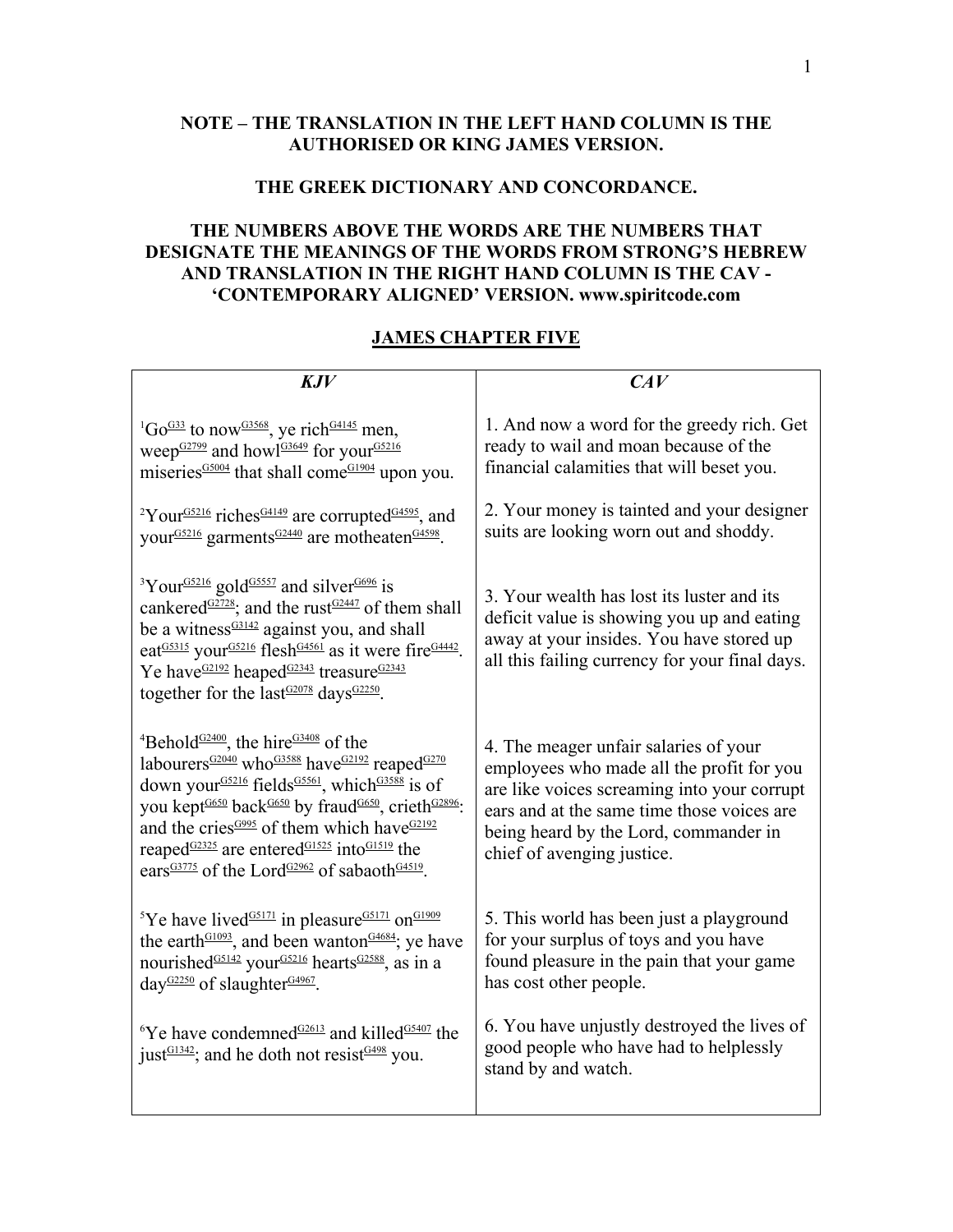## **NOTE – THE TRANSLATION IN THE LEFT HAND COLUMN IS THE AUTHORISED OR KING JAMES VERSION.**

## **THE GREEK DICTIONARY AND CONCORDANCE.**

## **THE NUMBERS ABOVE THE WORDS ARE THE NUMBERS THAT DESIGNATE THE MEANINGS OF THE WORDS FROM STRONG'S HEBREW AND TRANSLATION IN THE RIGHT HAND COLUMN IS THE CAV - 'CONTEMPORARY ALIGNED' VERSION. www.spiritcode.com**

## **JAMES CHAPTER FIVE**

| KJV                                                                                                                                                                                                                                                                                                                                                                                                                                                                                                                                                                                                              | CAV                                                                                                                                                                                                                                                    |
|------------------------------------------------------------------------------------------------------------------------------------------------------------------------------------------------------------------------------------------------------------------------------------------------------------------------------------------------------------------------------------------------------------------------------------------------------------------------------------------------------------------------------------------------------------------------------------------------------------------|--------------------------------------------------------------------------------------------------------------------------------------------------------------------------------------------------------------------------------------------------------|
| <sup>1</sup> Go <sup>G33</sup> to now <sup>G3568</sup> , ye rich <sup>G4145</sup> men,<br>weep <sup>G2799</sup> and howl <sup>G3649</sup> for your <sup>G5216</sup><br>miseries <sup>G5004</sup> that shall come <sup>G1904</sup> upon you.                                                                                                                                                                                                                                                                                                                                                                      | 1. And now a word for the greedy rich. Get<br>ready to wail and moan because of the<br>financial calamities that will beset you.                                                                                                                       |
| <sup>2</sup> Your <sup>G5216</sup> riches <sup>G4149</sup> are corrupted <sup>G4595</sup> , and<br>your <sup>G5216</sup> garments <sup>G2440</sup> are motheaten <sup>G4598</sup> .                                                                                                                                                                                                                                                                                                                                                                                                                              | 2. Your money is tainted and your designer<br>suits are looking worn out and shoddy.                                                                                                                                                                   |
| <sup>3</sup> Your <sup>G5216</sup> gold <sup>G5557</sup> and silver <sup>G696</sup> is<br>cankered <sup><math>G2728</math></sup> ; and the rust <sup><math>G2447</math></sup> of them shall<br>be a witness $\frac{G3142}{2}$ against you, and shall<br>eat <sup>G5315</sup> your <sup>G5216</sup> flesh <sup>G4561</sup> as it were fire <sup>G4442</sup> .<br>Ye have <sup>G2192</sup> heaped <sup>G2343</sup> treasure <sup>G2343</sup><br>together for the last <sup>G2078</sup> days <sup>G2250</sup> .                                                                                                     | 3. Your wealth has lost its luster and its<br>deficit value is showing you up and eating<br>away at your insides. You have stored up<br>all this failing currency for your final days.                                                                 |
| <sup>4</sup> Behold <sup><math>G2400</math></sup> , the hire <sup><math>G3408</math></sup> of the<br>labourers <sup>G2040</sup> who <sup>G3588</sup> have <sup>G2192</sup> reaped <sup>G270</sup><br>down your <sup>G5216</sup> fields <sup>G5561</sup> , which <sup>G3588</sup> is of<br>you kept <sup>G650</sup> back <sup>G650</sup> by fraud <sup>G650</sup> , crieth <sup>G2896</sup> :<br>and the cries <sup><math>G995</math></sup> of them which have $G2192$<br>reaped $G2325$ are entered $G1525$ into $G1519$ the<br>ears <sup>G3775</sup> of the Lord <sup>G2962</sup> of sabaoth <sup>G4519</sup> . | 4. The meager unfair salaries of your<br>employees who made all the profit for you<br>are like voices screaming into your corrupt<br>ears and at the same time those voices are<br>being heard by the Lord, commander in<br>chief of avenging justice. |
| <sup>5</sup> Ye have lived <sup><math>G5171</math></sup> in pleasure <sup><math>G5171</math></sup> on <sup><math>G1909</math></sup><br>the earth <sup>G1093</sup> , and been wanton <sup>G4684</sup> ; ye have<br>nourished <sup>G5142</sup> your <sup>G5216</sup> hearts <sup>G2588</sup> , as in a<br>day <sup>G2250</sup> of slaughter <sup>G4967</sup> .                                                                                                                                                                                                                                                     | 5. This world has been just a playground<br>for your surplus of toys and you have<br>found pleasure in the pain that your game<br>has cost other people.                                                                                               |
| <sup>6</sup> Ye have condemned <sup><math>G2613</math></sup> and killed $G5407$ the<br>just <sup><math>G1342</math></sup> ; and he doth not resist $G498$ you.                                                                                                                                                                                                                                                                                                                                                                                                                                                   | 6. You have unjustly destroyed the lives of<br>good people who have had to helplessly<br>stand by and watch.                                                                                                                                           |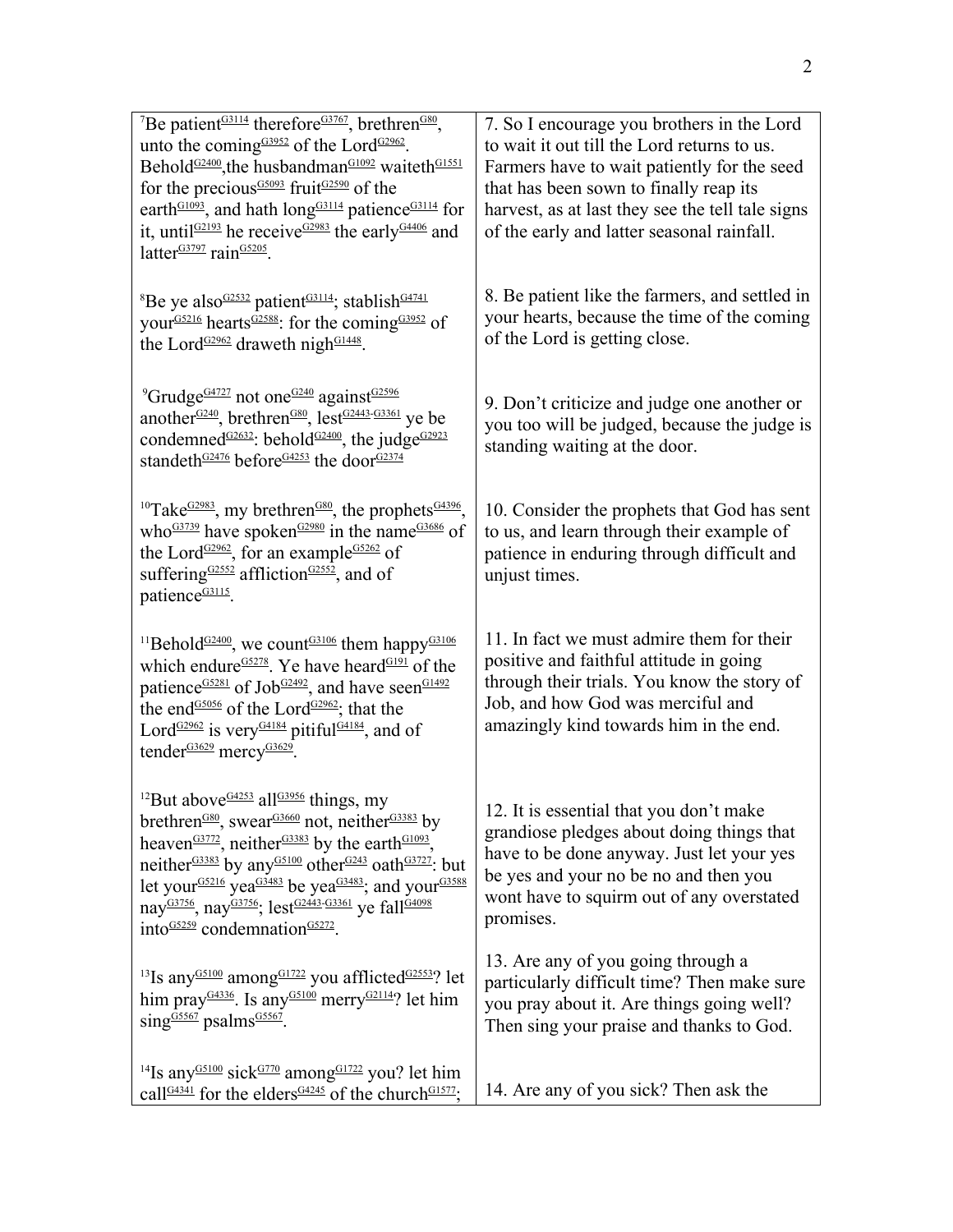| <sup>7</sup> Be patient <sup>G3114</sup> therefore <sup>G3767</sup> , brethren <sup>G80</sup> ,<br>unto the coming $63952$ of the Lord $62962$ .<br>Behold <sup>G2400</sup> , the husbandman <sup>G1092</sup> waiteth <sup>G1551</sup><br>for the precious <sup>G5093</sup> fruit <sup>G2590</sup> of the<br>earth <sup>G1093</sup> , and hath long <sup>G3114</sup> patience <sup>G3114</sup> for<br>it, until $62193$ he receive $62983$ the early $64406$ and<br>latter <sup>G3797</sup> rain <sup>G5205</sup> .                                                                                                          | 7. So I encourage you brothers in the Lord<br>to wait it out till the Lord returns to us.<br>Farmers have to wait patiently for the seed<br>that has been sown to finally reap its<br>harvest, as at last they see the tell tale signs<br>of the early and latter seasonal rainfall. |
|------------------------------------------------------------------------------------------------------------------------------------------------------------------------------------------------------------------------------------------------------------------------------------------------------------------------------------------------------------------------------------------------------------------------------------------------------------------------------------------------------------------------------------------------------------------------------------------------------------------------------|--------------------------------------------------------------------------------------------------------------------------------------------------------------------------------------------------------------------------------------------------------------------------------------|
| <sup>8</sup> Be ye also $\frac{G2532}{2}$ patient <sup><math>G3114</math></sup> ; stablish <sup><math>G4741</math></sup><br>your <sup>G5216</sup> hearts <sup>G2588</sup> : for the coming <sup>G3952</sup> of<br>the Lord <sup>G2962</sup> draweth nigh <sup>G1448</sup> .                                                                                                                                                                                                                                                                                                                                                  | 8. Be patient like the farmers, and settled in<br>your hearts, because the time of the coming<br>of the Lord is getting close.                                                                                                                                                       |
| <sup>9</sup> Grudge <sup>G4727</sup> not one <sup>G240</sup> against <sup>G2596</sup><br>another <sup>G240</sup> , brethren <sup>G80</sup> , lest <sup>G2443-G3361</sup> ye be<br>condemned <sup><math>G2632</math></sup> : behold <sup><math>G2400</math></sup> , the judge <sup><math>G2923</math></sup><br>standeth <sup>G2476</sup> before <sup>G4253</sup> the door <sup>G2374</sup>                                                                                                                                                                                                                                    | 9. Don't criticize and judge one another or<br>you too will be judged, because the judge is<br>standing waiting at the door.                                                                                                                                                         |
| <sup>10</sup> Take <sup>G2983</sup> , my brethren <sup>G80</sup> , the prophets <sup>G4396</sup> ,<br>who <sup><math>G3739</math></sup> have spoken <sup><math>G2980</math></sup> in the name <sup><math>G3686</math></sup> of<br>the Lord <sup>G2962</sup> , for an example <sup>G5262</sup> of<br>suffering $G2552$ affliction $G2552$ , and of<br>patience <sup>G3115</sup> .                                                                                                                                                                                                                                             | 10. Consider the prophets that God has sent<br>to us, and learn through their example of<br>patience in enduring through difficult and<br>unjust times.                                                                                                                              |
| <sup>11</sup> Behold <sup>G2400</sup> , we count <sup>G3106</sup> them happy <sup>G3106</sup><br>which endure <sup>G5278</sup> . Ye have heard <sup>G191</sup> of the<br>patience <sup>G5281</sup> of Job <sup>G2492</sup> , and have seen <sup>G1492</sup><br>the end <sup>G5056</sup> of the Lord <sup>G2962</sup> ; that the<br>Lord <sup>G2962</sup> is very <sup>G4184</sup> pitiful <sup>G4184</sup> , and of<br>tender <sup>G3629</sup> mercy <sup>G3629</sup> .                                                                                                                                                      | 11. In fact we must admire them for their<br>positive and faithful attitude in going<br>through their trials. You know the story of<br>Job, and how God was merciful and<br>amazingly kind towards him in the end.                                                                   |
| <sup>12</sup> But above <sup>G4253</sup> all <sup>G3956</sup> things, my<br>brethren <sup>G80</sup> , swear <sup>G3660</sup> not, neither <sup>G3383</sup> by<br>heaven <sup>G3772</sup> , neither <sup>G3383</sup> by the earth <sup>G1093</sup> ,<br>neither <sup>G3383</sup> by any <sup>G5100</sup> other <sup>G243</sup> oath <sup>G3727</sup> : but<br>let your <sup>G5216</sup> yea <sup>G3483</sup> be yea <sup>G3483</sup> ; and your <sup>G3588</sup><br>nay <sup>G3756</sup> , nay <sup>G3756</sup> ; lest <sup>G2443-G3361</sup> ye fall <sup>G4098</sup><br>$into \frac{GS259}{} condemnation \frac{GS272}{}$ . | 12. It is essential that you don't make<br>grandiose pledges about doing things that<br>have to be done anyway. Just let your yes<br>be yes and your no be no and then you<br>wont have to squirm out of any overstated<br>promises.                                                 |
| <sup>13</sup> Is any <sup>G5100</sup> among <sup>G1722</sup> you afflicted <sup>G2553</sup> ? let<br>him pray <sup><math>G4336</math></sup> . Is any $G5100$ merry $G2114$ ? let him<br>$sing$ <sup>G5567</sup> psalms <sup>G5567</sup> .                                                                                                                                                                                                                                                                                                                                                                                    | 13. Are any of you going through a<br>particularly difficult time? Then make sure<br>you pray about it. Are things going well?<br>Then sing your praise and thanks to God.                                                                                                           |
| <sup>14</sup> Is any <sup>G5100</sup> sick <sup>G770</sup> among <sup>G1722</sup> you? let him<br>call <sup>G4341</sup> for the elders <sup>G4245</sup> of the church <sup>G1577</sup> ;                                                                                                                                                                                                                                                                                                                                                                                                                                     | 14. Are any of you sick? Then ask the                                                                                                                                                                                                                                                |